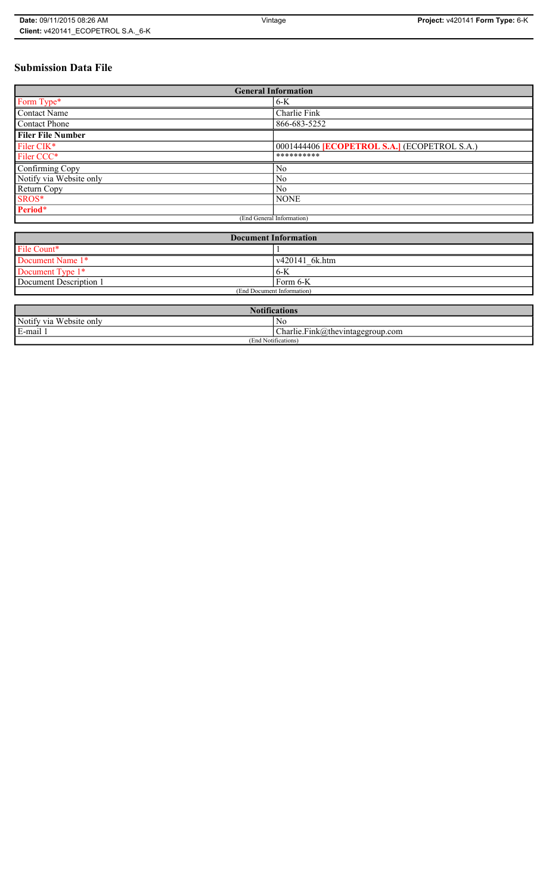# **Submission Data File**

| <b>General Information</b> |                                                   |
|----------------------------|---------------------------------------------------|
| Form Type*                 | $6-K$                                             |
| <b>Contact Name</b>        | Charlie Fink                                      |
| <b>Contact Phone</b>       | 866-683-5252                                      |
| <b>Filer File Number</b>   |                                                   |
| Filer CIK*                 | 0001444406 <b>ECOPETROL S.A.</b> (ECOPETROL S.A.) |
| Filer CCC*                 | **********                                        |
| Confirming Copy            | N <sub>0</sub>                                    |
| Notify via Website only    | N <sub>0</sub>                                    |
| Return Copy                | N <sub>0</sub>                                    |
| SROS*                      | <b>NONE</b>                                       |
| Period*                    |                                                   |
| (End General Information)  |                                                   |

| <b>Document Information</b> |                |
|-----------------------------|----------------|
| File Count*                 |                |
| Document Name 1*            | v420141 6k.htm |
| Document Type 1*            | 6K             |
| Document Description 1      | Form 6-K       |
| (End Document Information)  |                |

| <b>Notifications</b>    |                                  |
|-------------------------|----------------------------------|
| Notify via Website only | No                               |
| E-mail                  | Charlie.Fink@thevintagegroup.com |
| (End Notifications)     |                                  |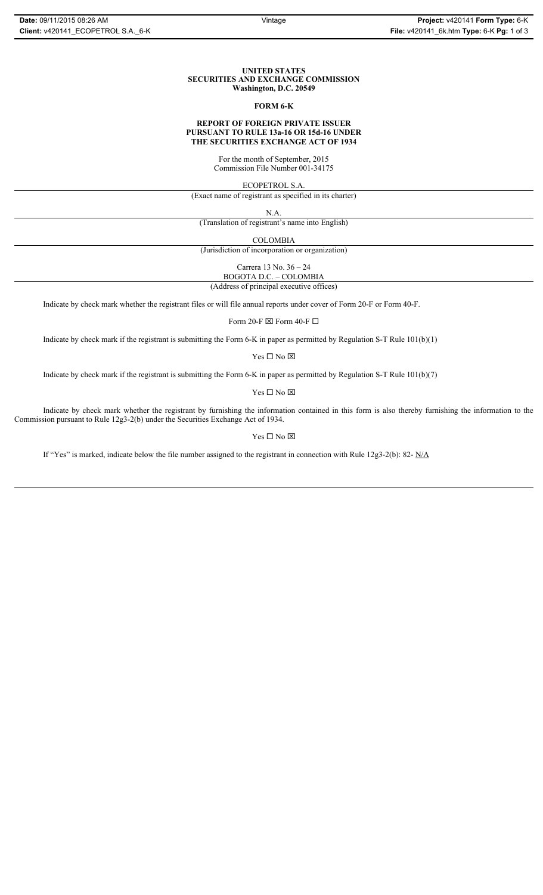## **UNITED STATES SECURITIES AND EXCHANGE COMMISSION Washington, D.C. 20549**

## **FORM 6-K**

#### **REPORT OF FOREIGN PRIVATE ISSUER PURSUANT TO RULE 13a-16 OR 15d-16 UNDER THE SECURITIES EXCHANGE ACT OF 1934**

For the month of September, 2015 Commission File Number 001-34175

ECOPETROL S.A.

(Exact name of registrant as specified in its charter)

N.A.

(Translation of registrant's name into English)

COLOMBIA

(Jurisdiction of incorporation or organization)

Carrera 13 No. 36 – 24

BOGOTA D.C. – COLOMBIA (Address of principal executive offices)

Indicate by check mark whether the registrant files or will file annual reports under cover of Form 20-F or Form 40-F.

Form 20-F  $\boxtimes$  Form 40-F  $\Box$ 

Indicate by check mark if the registrant is submitting the Form 6-K in paper as permitted by Regulation S-T Rule 101(b)(1)

 $\mathbf{Y}\mathbf{es} \ \Box$  No  $\boxtimes$ 

Indicate by check mark if the registrant is submitting the Form 6-K in paper as permitted by Regulation S-T Rule 101(b)(7)

Yes $\Box$  No  $\boxtimes$ 

Indicate by check mark whether the registrant by furnishing the information contained in this form is also thereby furnishing the information to the Commission pursuant to Rule 12g3-2(b) under the Securities Exchange Act of 1934.

Yes  $\Box$  No  $\boxtimes$ 

If "Yes" is marked, indicate below the file number assigned to the registrant in connection with Rule 12g3-2(b): 82- N/A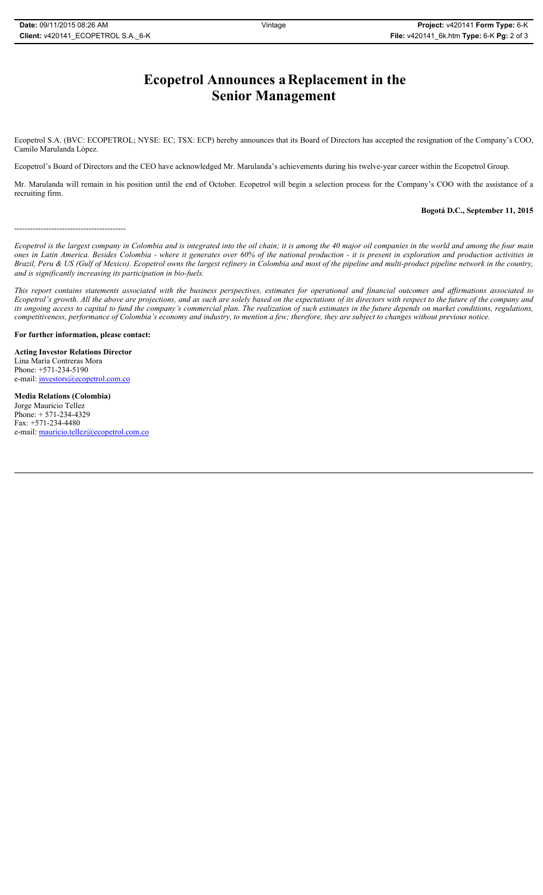# **Ecopetrol Announces a Replacement in the Senior Management**

Ecopetrol S.A. (BVC: ECOPETROL; NYSE: EC; TSX: ECP) hereby announces that its Board of Directors has accepted the resignation of the Company's COO, Camilo Marulanda López.

Ecopetrol's Board of Directors and the CEO have acknowledged Mr. Marulanda's achievements during his twelve-year career within the Ecopetrol Group.

Mr. Marulanda will remain in his position until the end of October. Ecopetrol will begin a selection process for the Company's COO with the assistance of a recruiting firm.

**Bogotá D.C., September 11, 2015**

------------------------------------------

*Ecopetrol is the largest company in Colombia and is integrated into the oil chain; it is among the 40 major oil companies in the world and among the four main ones in Latin America. Besides Colombia - where it generates over 60% of the national production - it is present in exploration and production activities in Brazil, Peru & US (Gulf of Mexico). Ecopetrol owns the largest refinery in Colombia and most of the pipeline and multi-product pipeline network in the country, and is significantly increasing its participation in bio-fuels.* 

*This report contains statements associated with the business perspectives, estimates for operational and financial outcomes and affirmations associated to Ecopetrol's growth. All the above are projections, and as such are solely based on the expectations of its directors with respect to the future of the company and its ongoing access to capital to fund the company's commercial plan. The realization of such estimates in the future depends on market conditions, regulations, competitiveness, performance of Colombia's economy and industry, to mention a few; therefore, they are subject to changes without previous notice.* 

**For further information, please contact:** 

**Acting Investor Relations Director**  Lina María Contreras Mora Phone: +571-234-5190 e-mail: investors@ecopetrol.com.co

**Media Relations (Colombia)**  Jorge Mauricio Tellez Phone: + 571-234-4329 Fax: +571-234-4480 e-mail: mauricio.tellez@ecopetrol.com.co